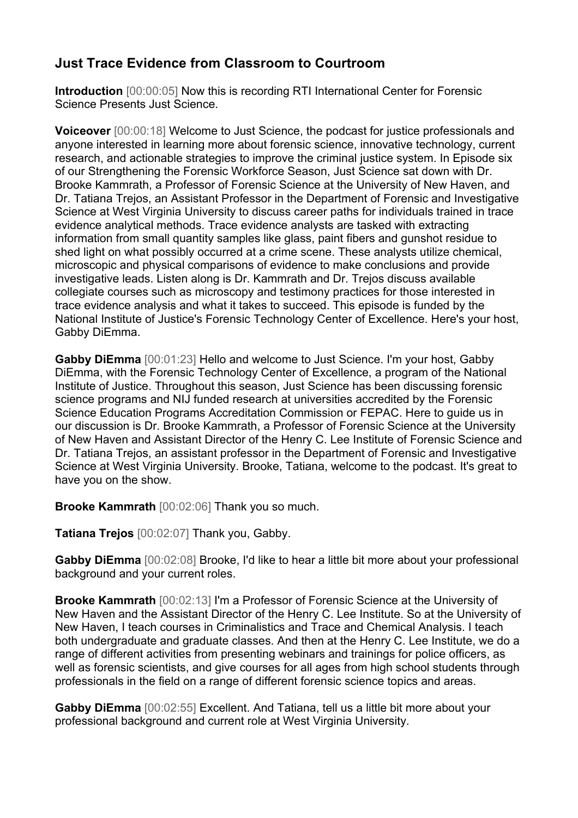## **Just Trace Evidence from Classroom to Courtroom**

**Introduction** [00:00:05] Now this is recording RTI International Center for Forensic Science Presents Just Science.

**Voiceover** [00:00:18] Welcome to Just Science, the podcast for justice professionals and anyone interested in learning more about forensic science, innovative technology, current research, and actionable strategies to improve the criminal justice system. In Episode six of our Strengthening the Forensic Workforce Season, Just Science sat down with Dr. Brooke Kammrath, a Professor of Forensic Science at the University of New Haven, and Dr. Tatiana Trejos, an Assistant Professor in the Department of Forensic and Investigative Science at West Virginia University to discuss career paths for individuals trained in trace evidence analytical methods. Trace evidence analysts are tasked with extracting information from small quantity samples like glass, paint fibers and gunshot residue to shed light on what possibly occurred at a crime scene. These analysts utilize chemical, microscopic and physical comparisons of evidence to make conclusions and provide investigative leads. Listen along is Dr. Kammrath and Dr. Trejos discuss available collegiate courses such as microscopy and testimony practices for those interested in trace evidence analysis and what it takes to succeed. This episode is funded by the National Institute of Justice's Forensic Technology Center of Excellence. Here's your host, Gabby DiEmma.

**Gabby DiEmma** [00:01:23] Hello and welcome to Just Science. I'm your host, Gabby DiEmma, with the Forensic Technology Center of Excellence, a program of the National Institute of Justice. Throughout this season, Just Science has been discussing forensic science programs and NIJ funded research at universities accredited by the Forensic Science Education Programs Accreditation Commission or FEPAC. Here to guide us in our discussion is Dr. Brooke Kammrath, a Professor of Forensic Science at the University of New Haven and Assistant Director of the Henry C. Lee Institute of Forensic Science and Dr. Tatiana Trejos, an assistant professor in the Department of Forensic and Investigative Science at West Virginia University. Brooke, Tatiana, welcome to the podcast. It's great to have you on the show.

**Brooke Kammrath** [00:02:06] Thank you so much.

**Tatiana Trejos** [00:02:07] Thank you, Gabby.

**Gabby DiEmma** [00:02:08] Brooke, I'd like to hear a little bit more about your professional background and your current roles.

**Brooke Kammrath** [00:02:13] I'm a Professor of Forensic Science at the University of New Haven and the Assistant Director of the Henry C. Lee Institute. So at the University of New Haven, I teach courses in Criminalistics and Trace and Chemical Analysis. I teach both undergraduate and graduate classes. And then at the Henry C. Lee Institute, we do a range of different activities from presenting webinars and trainings for police officers, as well as forensic scientists, and give courses for all ages from high school students through professionals in the field on a range of different forensic science topics and areas.

**Gabby DiEmma** [00:02:55] Excellent. And Tatiana, tell us a little bit more about your professional background and current role at West Virginia University.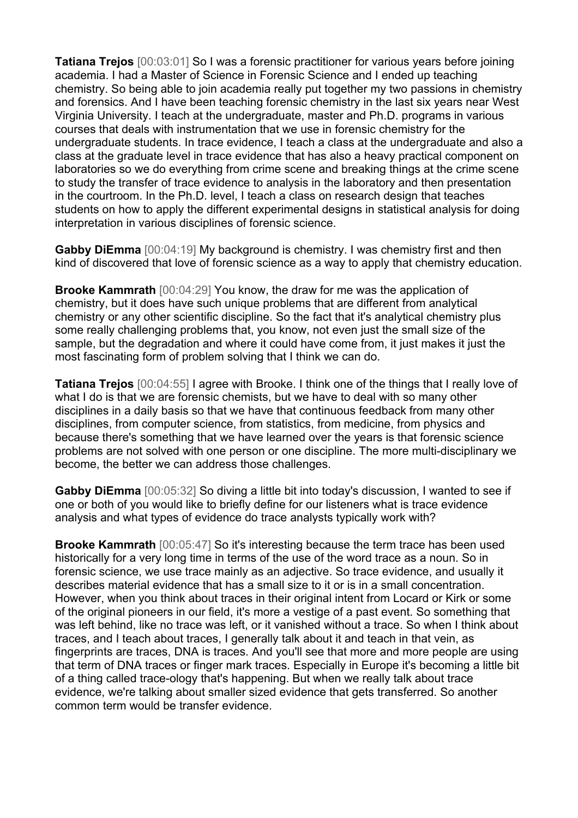**Tatiana Trejos** [00:03:01] So I was a forensic practitioner for various years before joining academia. I had a Master of Science in Forensic Science and I ended up teaching chemistry. So being able to join academia really put together my two passions in chemistry and forensics. And I have been teaching forensic chemistry in the last six years near West Virginia University. I teach at the undergraduate, master and Ph.D. programs in various courses that deals with instrumentation that we use in forensic chemistry for the undergraduate students. In trace evidence, I teach a class at the undergraduate and also a class at the graduate level in trace evidence that has also a heavy practical component on laboratories so we do everything from crime scene and breaking things at the crime scene to study the transfer of trace evidence to analysis in the laboratory and then presentation in the courtroom. In the Ph.D. level, I teach a class on research design that teaches students on how to apply the different experimental designs in statistical analysis for doing interpretation in various disciplines of forensic science.

**Gabby DiEmma** [00:04:19] My background is chemistry. I was chemistry first and then kind of discovered that love of forensic science as a way to apply that chemistry education.

**Brooke Kammrath** [00:04:29] You know, the draw for me was the application of chemistry, but it does have such unique problems that are different from analytical chemistry or any other scientific discipline. So the fact that it's analytical chemistry plus some really challenging problems that, you know, not even just the small size of the sample, but the degradation and where it could have come from, it just makes it just the most fascinating form of problem solving that I think we can do.

**Tatiana Trejos** [00:04:55] I agree with Brooke. I think one of the things that I really love of what I do is that we are forensic chemists, but we have to deal with so many other disciplines in a daily basis so that we have that continuous feedback from many other disciplines, from computer science, from statistics, from medicine, from physics and because there's something that we have learned over the years is that forensic science problems are not solved with one person or one discipline. The more multi-disciplinary we become, the better we can address those challenges.

**Gabby DiEmma** [00:05:32] So diving a little bit into today's discussion, I wanted to see if one or both of you would like to briefly define for our listeners what is trace evidence analysis and what types of evidence do trace analysts typically work with?

**Brooke Kammrath** [00:05:47] So it's interesting because the term trace has been used historically for a very long time in terms of the use of the word trace as a noun. So in forensic science, we use trace mainly as an adjective. So trace evidence, and usually it describes material evidence that has a small size to it or is in a small concentration. However, when you think about traces in their original intent from Locard or Kirk or some of the original pioneers in our field, it's more a vestige of a past event. So something that was left behind, like no trace was left, or it vanished without a trace. So when I think about traces, and I teach about traces, I generally talk about it and teach in that vein, as fingerprints are traces, DNA is traces. And you'll see that more and more people are using that term of DNA traces or finger mark traces. Especially in Europe it's becoming a little bit of a thing called trace-ology that's happening. But when we really talk about trace evidence, we're talking about smaller sized evidence that gets transferred. So another common term would be transfer evidence.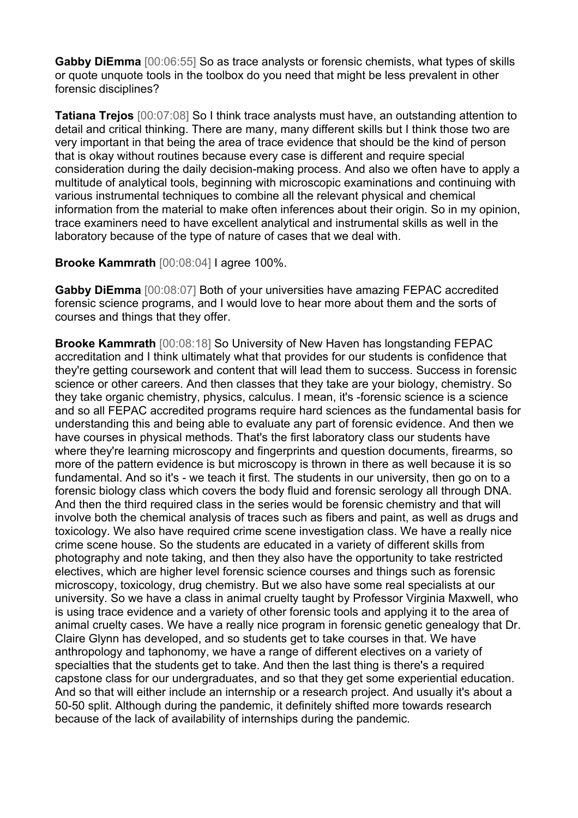**Gabby DiEmma** [00:06:55] So as trace analysts or forensic chemists, what types of skills or quote unquote tools in the toolbox do you need that might be less prevalent in other forensic disciplines?

**Tatiana Trejos** [00:07:08] So I think trace analysts must have, an outstanding attention to detail and critical thinking. There are many, many different skills but I think those two are very important in that being the area of trace evidence that should be the kind of person that is okay without routines because every case is different and require special consideration during the daily decision-making process. And also we often have to apply a multitude of analytical tools, beginning with microscopic examinations and continuing with various instrumental techniques to combine all the relevant physical and chemical information from the material to make often inferences about their origin. So in my opinion, trace examiners need to have excellent analytical and instrumental skills as well in the laboratory because of the type of nature of cases that we deal with.

## **Brooke Kammrath** [00:08:04] I agree 100%.

**Gabby DiEmma** [00:08:07] Both of your universities have amazing FEPAC accredited forensic science programs, and I would love to hear more about them and the sorts of courses and things that they offer.

**Brooke Kammrath** [00:08:18] So University of New Haven has longstanding FEPAC accreditation and I think ultimately what that provides for our students is confidence that they're getting coursework and content that will lead them to success. Success in forensic science or other careers. And then classes that they take are your biology, chemistry. So they take organic chemistry, physics, calculus. I mean, it's -forensic science is a science and so all FEPAC accredited programs require hard sciences as the fundamental basis for understanding this and being able to evaluate any part of forensic evidence. And then we have courses in physical methods. That's the first laboratory class our students have where they're learning microscopy and fingerprints and question documents, firearms, so more of the pattern evidence is but microscopy is thrown in there as well because it is so fundamental. And so it's - we teach it first. The students in our university, then go on to a forensic biology class which covers the body fluid and forensic serology all through DNA. And then the third required class in the series would be forensic chemistry and that will involve both the chemical analysis of traces such as fibers and paint, as well as drugs and toxicology. We also have required crime scene investigation class. We have a really nice crime scene house. So the students are educated in a variety of different skills from photography and note taking, and then they also have the opportunity to take restricted electives, which are higher level forensic science courses and things such as forensic microscopy, toxicology, drug chemistry. But we also have some real specialists at our university. So we have a class in animal cruelty taught by Professor Virginia Maxwell, who is using trace evidence and a variety of other forensic tools and applying it to the area of animal cruelty cases. We have a really nice program in forensic genetic genealogy that Dr. Claire Glynn has developed, and so students get to take courses in that. We have anthropology and taphonomy, we have a range of different electives on a variety of specialties that the students get to take. And then the last thing is there's a required capstone class for our undergraduates, and so that they get some experiential education. And so that will either include an internship or a research project. And usually it's about a 50-50 split. Although during the pandemic, it definitely shifted more towards research because of the lack of availability of internships during the pandemic.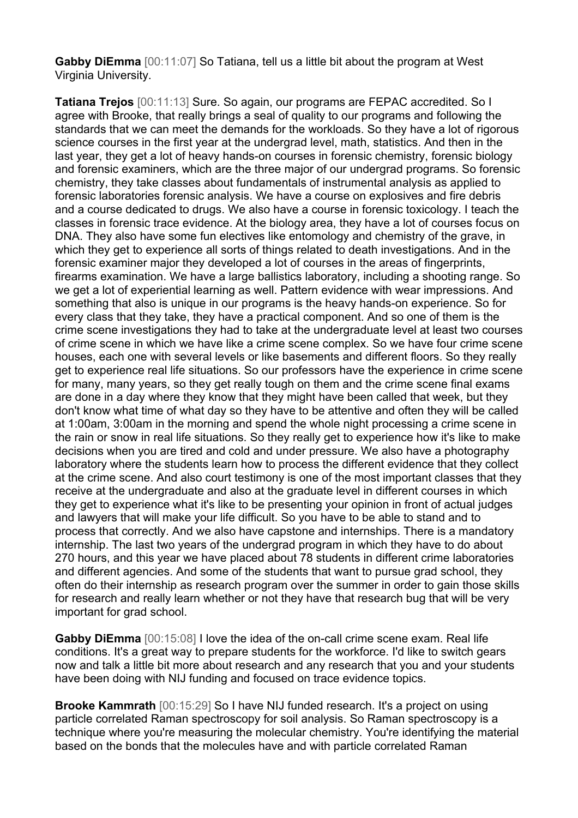**Gabby DiEmma** [00:11:07] So Tatiana, tell us a little bit about the program at West Virginia University.

**Tatiana Trejos** [00:11:13] Sure. So again, our programs are FEPAC accredited. So I agree with Brooke, that really brings a seal of quality to our programs and following the standards that we can meet the demands for the workloads. So they have a lot of rigorous science courses in the first year at the undergrad level, math, statistics. And then in the last year, they get a lot of heavy hands-on courses in forensic chemistry, forensic biology and forensic examiners, which are the three major of our undergrad programs. So forensic chemistry, they take classes about fundamentals of instrumental analysis as applied to forensic laboratories forensic analysis. We have a course on explosives and fire debris and a course dedicated to drugs. We also have a course in forensic toxicology. I teach the classes in forensic trace evidence. At the biology area, they have a lot of courses focus on DNA. They also have some fun electives like entomology and chemistry of the grave, in which they get to experience all sorts of things related to death investigations. And in the forensic examiner major they developed a lot of courses in the areas of fingerprints, firearms examination. We have a large ballistics laboratory, including a shooting range. So we get a lot of experiential learning as well. Pattern evidence with wear impressions. And something that also is unique in our programs is the heavy hands-on experience. So for every class that they take, they have a practical component. And so one of them is the crime scene investigations they had to take at the undergraduate level at least two courses of crime scene in which we have like a crime scene complex. So we have four crime scene houses, each one with several levels or like basements and different floors. So they really get to experience real life situations. So our professors have the experience in crime scene for many, many years, so they get really tough on them and the crime scene final exams are done in a day where they know that they might have been called that week, but they don't know what time of what day so they have to be attentive and often they will be called at 1:00am, 3:00am in the morning and spend the whole night processing a crime scene in the rain or snow in real life situations. So they really get to experience how it's like to make decisions when you are tired and cold and under pressure. We also have a photography laboratory where the students learn how to process the different evidence that they collect at the crime scene. And also court testimony is one of the most important classes that they receive at the undergraduate and also at the graduate level in different courses in which they get to experience what it's like to be presenting your opinion in front of actual judges and lawyers that will make your life difficult. So you have to be able to stand and to process that correctly. And we also have capstone and internships. There is a mandatory internship. The last two years of the undergrad program in which they have to do about 270 hours, and this year we have placed about 78 students in different crime laboratories and different agencies. And some of the students that want to pursue grad school, they often do their internship as research program over the summer in order to gain those skills for research and really learn whether or not they have that research bug that will be very important for grad school.

**Gabby DiEmma** [00:15:08] I love the idea of the on-call crime scene exam. Real life conditions. It's a great way to prepare students for the workforce. I'd like to switch gears now and talk a little bit more about research and any research that you and your students have been doing with NIJ funding and focused on trace evidence topics.

**Brooke Kammrath** [00:15:29] So I have NIJ funded research. It's a project on using particle correlated Raman spectroscopy for soil analysis. So Raman spectroscopy is a technique where you're measuring the molecular chemistry. You're identifying the material based on the bonds that the molecules have and with particle correlated Raman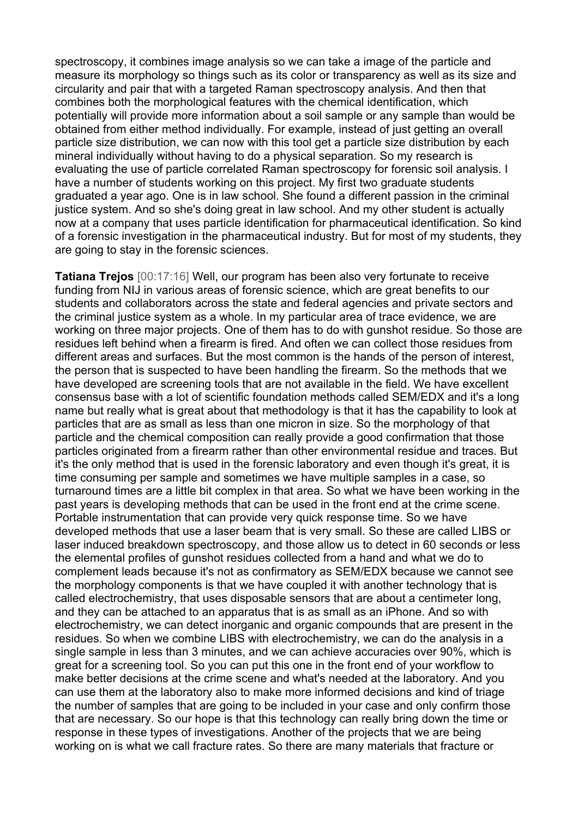spectroscopy, it combines image analysis so we can take a image of the particle and measure its morphology so things such as its color or transparency as well as its size and circularity and pair that with a targeted Raman spectroscopy analysis. And then that combines both the morphological features with the chemical identification, which potentially will provide more information about a soil sample or any sample than would be obtained from either method individually. For example, instead of just getting an overall particle size distribution, we can now with this tool get a particle size distribution by each mineral individually without having to do a physical separation. So my research is evaluating the use of particle correlated Raman spectroscopy for forensic soil analysis. I have a number of students working on this project. My first two graduate students graduated a year ago. One is in law school. She found a different passion in the criminal justice system. And so she's doing great in law school. And my other student is actually now at a company that uses particle identification for pharmaceutical identification. So kind of a forensic investigation in the pharmaceutical industry. But for most of my students, they are going to stay in the forensic sciences.

**Tatiana Trejos** [00:17:16] Well, our program has been also very fortunate to receive funding from NIJ in various areas of forensic science, which are great benefits to our students and collaborators across the state and federal agencies and private sectors and the criminal justice system as a whole. In my particular area of trace evidence, we are working on three major projects. One of them has to do with gunshot residue. So those are residues left behind when a firearm is fired. And often we can collect those residues from different areas and surfaces. But the most common is the hands of the person of interest, the person that is suspected to have been handling the firearm. So the methods that we have developed are screening tools that are not available in the field. We have excellent consensus base with a lot of scientific foundation methods called SEM/EDX and it's a long name but really what is great about that methodology is that it has the capability to look at particles that are as small as less than one micron in size. So the morphology of that particle and the chemical composition can really provide a good confirmation that those particles originated from a firearm rather than other environmental residue and traces. But it's the only method that is used in the forensic laboratory and even though it's great, it is time consuming per sample and sometimes we have multiple samples in a case, so turnaround times are a little bit complex in that area. So what we have been working in the past years is developing methods that can be used in the front end at the crime scene. Portable instrumentation that can provide very quick response time. So we have developed methods that use a laser beam that is very small. So these are called LIBS or laser induced breakdown spectroscopy, and those allow us to detect in 60 seconds or less the elemental profiles of gunshot residues collected from a hand and what we do to complement leads because it's not as confirmatory as SEM/EDX because we cannot see the morphology components is that we have coupled it with another technology that is called electrochemistry, that uses disposable sensors that are about a centimeter long, and they can be attached to an apparatus that is as small as an iPhone. And so with electrochemistry, we can detect inorganic and organic compounds that are present in the residues. So when we combine LIBS with electrochemistry, we can do the analysis in a single sample in less than 3 minutes, and we can achieve accuracies over 90%, which is great for a screening tool. So you can put this one in the front end of your workflow to make better decisions at the crime scene and what's needed at the laboratory. And you can use them at the laboratory also to make more informed decisions and kind of triage the number of samples that are going to be included in your case and only confirm those that are necessary. So our hope is that this technology can really bring down the time or response in these types of investigations. Another of the projects that we are being working on is what we call fracture rates. So there are many materials that fracture or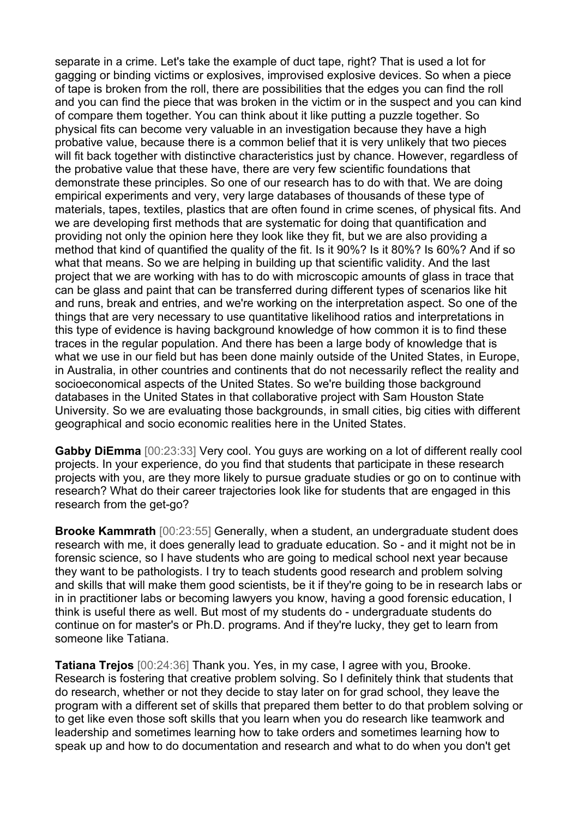separate in a crime. Let's take the example of duct tape, right? That is used a lot for gagging or binding victims or explosives, improvised explosive devices. So when a piece of tape is broken from the roll, there are possibilities that the edges you can find the roll and you can find the piece that was broken in the victim or in the suspect and you can kind of compare them together. You can think about it like putting a puzzle together. So physical fits can become very valuable in an investigation because they have a high probative value, because there is a common belief that it is very unlikely that two pieces will fit back together with distinctive characteristics just by chance. However, regardless of the probative value that these have, there are very few scientific foundations that demonstrate these principles. So one of our research has to do with that. We are doing empirical experiments and very, very large databases of thousands of these type of materials, tapes, textiles, plastics that are often found in crime scenes, of physical fits. And we are developing first methods that are systematic for doing that quantification and providing not only the opinion here they look like they fit, but we are also providing a method that kind of quantified the quality of the fit. Is it 90%? Is it 80%? Is 60%? And if so what that means. So we are helping in building up that scientific validity. And the last project that we are working with has to do with microscopic amounts of glass in trace that can be glass and paint that can be transferred during different types of scenarios like hit and runs, break and entries, and we're working on the interpretation aspect. So one of the things that are very necessary to use quantitative likelihood ratios and interpretations in this type of evidence is having background knowledge of how common it is to find these traces in the regular population. And there has been a large body of knowledge that is what we use in our field but has been done mainly outside of the United States, in Europe, in Australia, in other countries and continents that do not necessarily reflect the reality and socioeconomical aspects of the United States. So we're building those background databases in the United States in that collaborative project with Sam Houston State University. So we are evaluating those backgrounds, in small cities, big cities with different geographical and socio economic realities here in the United States.

**Gabby DiEmma** [00:23:33] Very cool. You guys are working on a lot of different really cool projects. In your experience, do you find that students that participate in these research projects with you, are they more likely to pursue graduate studies or go on to continue with research? What do their career trajectories look like for students that are engaged in this research from the get-go?

**Brooke Kammrath** [00:23:55] Generally, when a student, an undergraduate student does research with me, it does generally lead to graduate education. So - and it might not be in forensic science, so I have students who are going to medical school next year because they want to be pathologists. I try to teach students good research and problem solving and skills that will make them good scientists, be it if they're going to be in research labs or in in practitioner labs or becoming lawyers you know, having a good forensic education, I think is useful there as well. But most of my students do - undergraduate students do continue on for master's or Ph.D. programs. And if they're lucky, they get to learn from someone like Tatiana.

**Tatiana Trejos** [00:24:36] Thank you. Yes, in my case, I agree with you, Brooke. Research is fostering that creative problem solving. So I definitely think that students that do research, whether or not they decide to stay later on for grad school, they leave the program with a different set of skills that prepared them better to do that problem solving or to get like even those soft skills that you learn when you do research like teamwork and leadership and sometimes learning how to take orders and sometimes learning how to speak up and how to do documentation and research and what to do when you don't get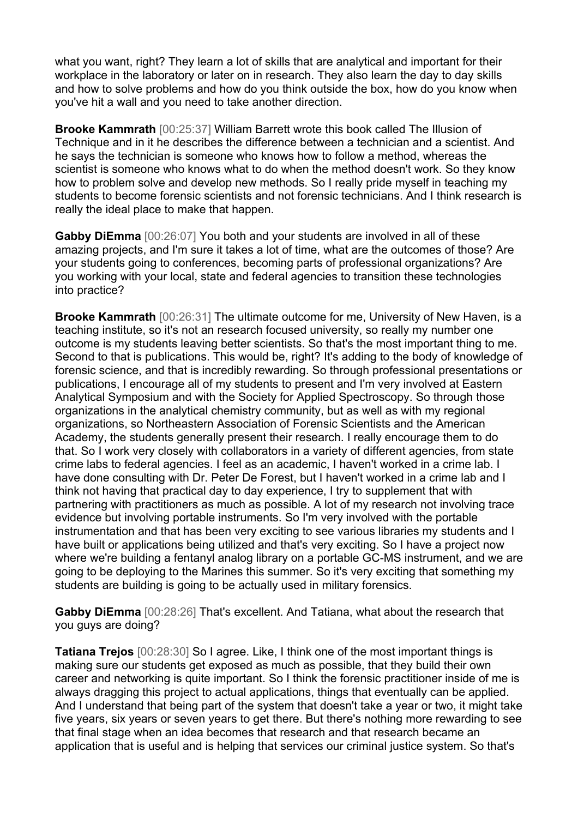what you want, right? They learn a lot of skills that are analytical and important for their workplace in the laboratory or later on in research. They also learn the day to day skills and how to solve problems and how do you think outside the box, how do you know when you've hit a wall and you need to take another direction.

**Brooke Kammrath** [00:25:37] William Barrett wrote this book called The Illusion of Technique and in it he describes the difference between a technician and a scientist. And he says the technician is someone who knows how to follow a method, whereas the scientist is someone who knows what to do when the method doesn't work. So they know how to problem solve and develop new methods. So I really pride myself in teaching my students to become forensic scientists and not forensic technicians. And I think research is really the ideal place to make that happen.

**Gabby DiEmma** [00:26:07] You both and your students are involved in all of these amazing projects, and I'm sure it takes a lot of time, what are the outcomes of those? Are your students going to conferences, becoming parts of professional organizations? Are you working with your local, state and federal agencies to transition these technologies into practice?

**Brooke Kammrath** [00:26:31] The ultimate outcome for me, University of New Haven, is a teaching institute, so it's not an research focused university, so really my number one outcome is my students leaving better scientists. So that's the most important thing to me. Second to that is publications. This would be, right? It's adding to the body of knowledge of forensic science, and that is incredibly rewarding. So through professional presentations or publications, I encourage all of my students to present and I'm very involved at Eastern Analytical Symposium and with the Society for Applied Spectroscopy. So through those organizations in the analytical chemistry community, but as well as with my regional organizations, so Northeastern Association of Forensic Scientists and the American Academy, the students generally present their research. I really encourage them to do that. So I work very closely with collaborators in a variety of different agencies, from state crime labs to federal agencies. I feel as an academic, I haven't worked in a crime lab. I have done consulting with Dr. Peter De Forest, but I haven't worked in a crime lab and I think not having that practical day to day experience, I try to supplement that with partnering with practitioners as much as possible. A lot of my research not involving trace evidence but involving portable instruments. So I'm very involved with the portable instrumentation and that has been very exciting to see various libraries my students and I have built or applications being utilized and that's very exciting. So I have a project now where we're building a fentanyl analog library on a portable GC-MS instrument, and we are going to be deploying to the Marines this summer. So it's very exciting that something my students are building is going to be actually used in military forensics.

**Gabby DiEmma** [00:28:26] That's excellent. And Tatiana, what about the research that you guys are doing?

**Tatiana Trejos** [00:28:30] So I agree. Like, I think one of the most important things is making sure our students get exposed as much as possible, that they build their own career and networking is quite important. So I think the forensic practitioner inside of me is always dragging this project to actual applications, things that eventually can be applied. And I understand that being part of the system that doesn't take a year or two, it might take five years, six years or seven years to get there. But there's nothing more rewarding to see that final stage when an idea becomes that research and that research became an application that is useful and is helping that services our criminal justice system. So that's